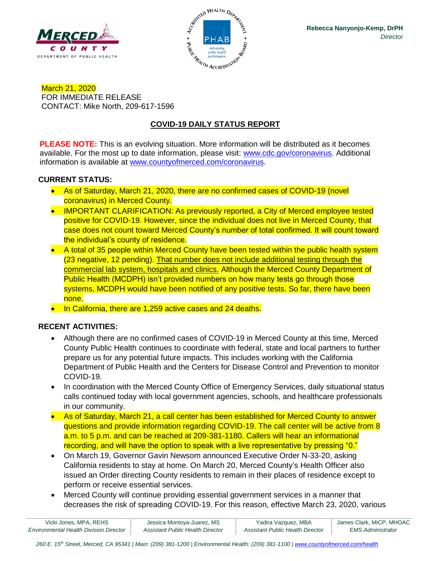



March 21, 2020 FOR IMMEDIATE RELEASE CONTACT: Mike North, 209-617-1596

# **COVID-19 DAILY STATUS REPORT**

**PLEASE NOTE:** This is an evolving situation. More information will be distributed as it becomes available. For the most up to date information, please visit: [www.cdc.gov/coronavirus.](http://www.cdc.gov/coronavirus) Additional information is available at [www.countyofmerced.com/coronavirus.](http://www.countyofmerced.com/coronavirus)

#### **CURRENT STATUS:**

- As of Saturday, March 21, 2020, there are no confirmed cases of COVID-19 (novel coronavirus) in Merced County.
- IMPORTANT CLARIFICATION: As previously reported, a City of Merced employee tested positive for COVID-19. However, since the individual does not live in Merced County, that case does not count toward Merced County's number of total confirmed. It will count toward the individual's county of residence.
- A total of 35 people within Merced County have been tested within the public health system (23 negative, 12 pending). That number does not include additional testing through the commercial lab system, hospitals and clinics. Although the Merced County Department of Public Health (MCDPH) isn't provided numbers on how many tests go through those systems, MCDPH would have been notified of any positive tests. So far, there have been none.
- In California, there are 1,259 active cases and 24 deaths.

#### **RECENT ACTIVITIES:**

- Although there are no confirmed cases of COVID-19 in Merced County at this time, Merced County Public Health continues to coordinate with federal, state and local partners to further prepare us for any potential future impacts. This includes working with the California Department of Public Health and the Centers for Disease Control and Prevention to monitor COVID-19.
- In coordination with the Merced County Office of Emergency Services, daily situational status calls continued today with local government agencies, schools, and healthcare professionals in our community.
- As of Saturday, March 21, a call center has been established for Merced County to answer questions and provide information regarding COVID-19. The call center will be active from 8 a.m. to 5 p.m. and can be reached at 209-381-1180. Callers will hear an informational recording, and will have the option to speak with a live representative by pressing "0."
- On March 19, Governor Gavin Newsom announced Executive Order N-33-20, asking California residents to stay at home. On March 20, Merced County's Health Officer also issued an Order directing County residents to remain in their places of residence except to perform or receive essential services.
- Merced County will continue providing essential government services in a manner that decreases the risk of spreading COVID-19. For this reason, effective March 23, 2020, various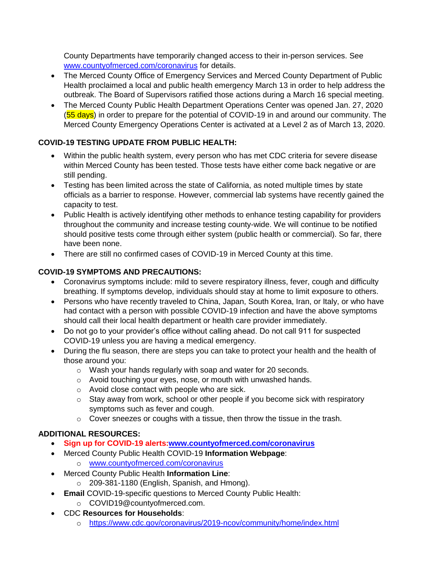County Departments have temporarily changed access to their in-person services. See [www.countyofmerced.com/coronavirus](http://www.countyofmerced.com/coronavirus) for details.

- The Merced County Office of Emergency Services and Merced County Department of Public Health proclaimed a local and public health emergency March 13 in order to help address the outbreak. The Board of Supervisors ratified those actions during a March 16 special meeting.
- The Merced County Public Health Department Operations Center was opened Jan. 27, 2020  $(55 \text{ days})$  in order to prepare for the potential of COVID-19 in and around our community. The Merced County Emergency Operations Center is activated at a Level 2 as of March 13, 2020.

## **COVID-19 TESTING UPDATE FROM PUBLIC HEALTH:**

- Within the public health system, every person who has met CDC criteria for severe disease within Merced County has been tested. Those tests have either come back negative or are still pending.
- Testing has been limited across the state of California, as noted multiple times by state officials as a barrier to response. However, commercial lab systems have recently gained the capacity to test.
- Public Health is actively identifying other methods to enhance testing capability for providers throughout the community and increase testing county-wide. We will continue to be notified should positive tests come through either system (public health or commercial). So far, there have been none.
- There are still no confirmed cases of COVID-19 in Merced County at this time.

#### **COVID-19 SYMPTOMS AND PRECAUTIONS:**

- Coronavirus symptoms include: mild to severe respiratory illness, fever, cough and difficulty breathing. If symptoms develop, individuals should stay at home to limit exposure to others.
- Persons who have recently traveled to China, Japan, South Korea, Iran, or Italy, or who have had contact with a person with possible COVID-19 infection and have the above symptoms should call their local health department or health care provider immediately.
- Do not go to your provider's office without calling ahead. Do not call 911 for suspected COVID-19 unless you are having a medical emergency.
- During the flu season, there are steps you can take to protect your health and the health of those around you:
	- o Wash your hands regularly with soap and water for 20 seconds.
	- o Avoid touching your eyes, nose, or mouth with unwashed hands.
	- o Avoid close contact with people who are sick.
	- $\circ$  Stay away from work, school or other people if you become sick with respiratory symptoms such as fever and cough.
	- $\circ$  Cover sneezes or coughs with a tissue, then throw the tissue in the trash.

## **ADDITIONAL RESOURCES:**

- **Sign up for COVID-19 alerts[:www.countyofmerced.com/coronavirus](http://www.countyofmerced.com/coronavirus)**
- Merced County Public Health COVID-19 **Information Webpage**: o [www.countyofmerced.com/coronavirus](http://www.countyofmerced.com/coronavirus)
- Merced County Public Health **Information Line**:
	- o 209-381-1180 (English, Spanish, and Hmong).
- **Email** COVID-19-specific questions to Merced County Public Health:
	- o COVID19@countyofmerced.com.
- CDC **Resources for Households**:
	- o <https://www.cdc.gov/coronavirus/2019-ncov/community/home/index.html>